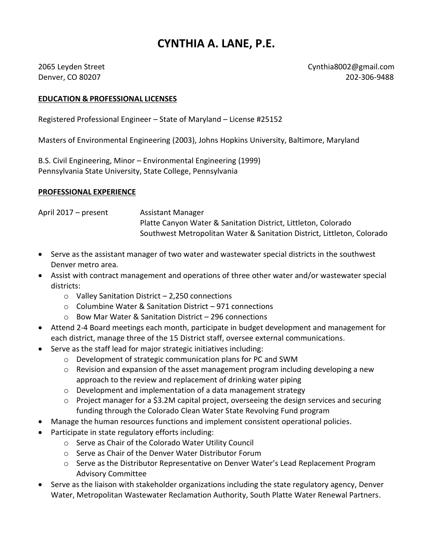## **CYNTHIA A. LANE, P.E.**

2065 Leyden Street Cynthia8002@gmail.com Denver, CO 80207 202-306-9488

## **EDUCATION & PROFESSIONAL LICENSES**

Registered Professional Engineer – State of Maryland – License #25152

Masters of Environmental Engineering (2003), Johns Hopkins University, Baltimore, Maryland

B.S. Civil Engineering, Minor – Environmental Engineering (1999) Pennsylvania State University, State College, Pennsylvania

## **PROFESSIONAL EXPERIENCE**

April 2017 – present Assistant Manager Platte Canyon Water & Sanitation District, Littleton, Colorado Southwest Metropolitan Water & Sanitation District, Littleton, Colorado

- Serve as the assistant manager of two water and wastewater special districts in the southwest Denver metro area.
- Assist with contract management and operations of three other water and/or wastewater special districts:
	- $\circ$  Valley Sanitation District 2,250 connections
	- o Columbine Water & Sanitation District 971 connections
	- o Bow Mar Water & Sanitation District 296 connections
- Attend 2-4 Board meetings each month, participate in budget development and management for each district, manage three of the 15 District staff, oversee external communications.
- Serve as the staff lead for major strategic initiatives including:
	- o Development of strategic communication plans for PC and SWM
	- $\circ$  Revision and expansion of the asset management program including developing a new approach to the review and replacement of drinking water piping
	- o Development and implementation of a data management strategy
	- $\circ$  Project manager for a \$3.2M capital project, overseeing the design services and securing funding through the Colorado Clean Water State Revolving Fund program
- Manage the human resources functions and implement consistent operational policies.
- Participate in state regulatory efforts including:
	- o Serve as Chair of the Colorado Water Utility Council
	- o Serve as Chair of the Denver Water Distributor Forum
	- o Serve as the Distributor Representative on Denver Water's Lead Replacement Program Advisory Committee
- Serve as the liaison with stakeholder organizations including the state regulatory agency, Denver Water, Metropolitan Wastewater Reclamation Authority, South Platte Water Renewal Partners.